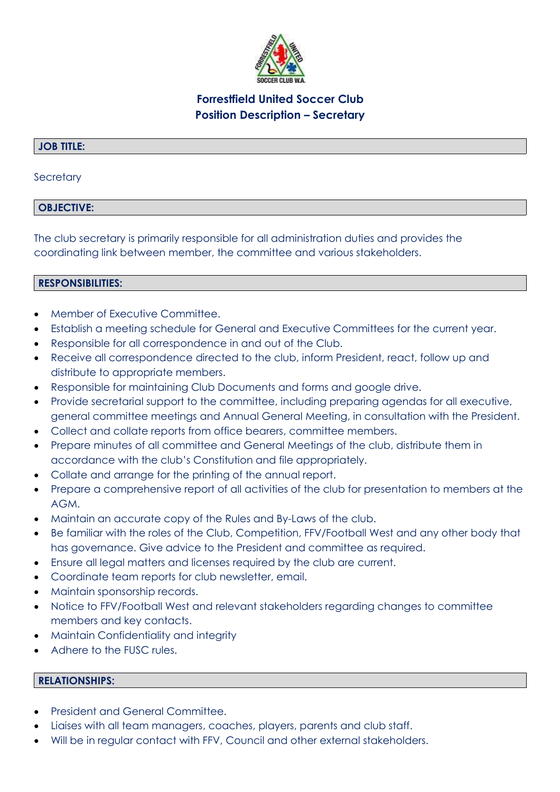

# **Forrestfield United Soccer Club Position Description – Secretary**

## **JOB TITLE:**

### **Secretary**

# **OBJECTIVE:**

The club secretary is primarily responsible for all administration duties and provides the coordinating link between member, the committee and various stakeholders.

## **RESPONSIBILITIES:**

- Member of Executive Committee.
- Establish a meeting schedule for General and Executive Committees for the current year.
- Responsible for all correspondence in and out of the Club.
- Receive all correspondence directed to the club, inform President, react, follow up and distribute to appropriate members.
- Responsible for maintaining Club Documents and forms and google drive.
- Provide secretarial support to the committee, including preparing agendas for all executive, general committee meetings and Annual General Meeting, in consultation with the President.
- Collect and collate reports from office bearers, committee members.
- Prepare minutes of all committee and General Meetings of the club, distribute them in accordance with the club's Constitution and file appropriately.
- Collate and arrange for the printing of the annual report.
- Prepare a comprehensive report of all activities of the club for presentation to members at the AGM.
- Maintain an accurate copy of the Rules and By-Laws of the club.
- Be familiar with the roles of the Club, Competition, FFV/Football West and any other body that has governance. Give advice to the President and committee as required.
- Ensure all legal matters and licenses required by the club are current.
- Coordinate team reports for club newsletter, email.
- Maintain sponsorship records.
- Notice to FFV/Football West and relevant stakeholders regarding changes to committee members and key contacts.
- Maintain Confidentiality and integrity
- Adhere to the FUSC rules.

#### **RELATIONSHIPS:**

- President and General Committee.
- Liaises with all team managers, coaches, players, parents and club staff.
- Will be in regular contact with FFV, Council and other external stakeholders.